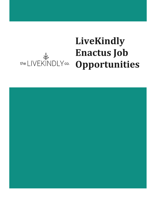# **LiveKindly Enactus Job** Endeus just

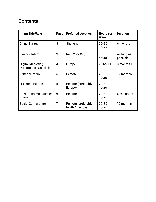# **Contents**

| <b>Intern Title/Role</b>                           | Page           | <b>Preferred Location</b>            | <b>Hours per</b><br><b>Week</b> | <b>Duration</b>        |
|----------------------------------------------------|----------------|--------------------------------------|---------------------------------|------------------------|
| China Startup                                      | 3              | Shanghai                             | $25 - 30$<br>hours              | 6 months               |
| <b>Finance Intern</b>                              | 3              | <b>New York City</b>                 | $20 - 30$<br>hours              | As long as<br>possible |
| Digital Marketing<br><b>Performance Specialist</b> | $\overline{4}$ | Europe                               | 20 hours                        | $3$ months $+$         |
| <b>Editorial Intern</b>                            | 5              | Remote                               | $20 - 30$<br>hours              | 12 months              |
| <b>HR</b> intern Europe                            | 5              | Remote (preferably<br>Europe)        | $20 - 30$<br>hours              |                        |
| <b>Integration Management</b><br>Intern            | 6              | Remote                               | $20 - 30$<br>hours              | 6-9 months             |
| <b>Social Content Intern</b>                       | $\overline{7}$ | Remote (preferably<br>North America) | $20 - 30$<br>hours              | 12 months              |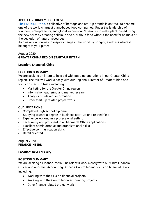#### **ABOUT LIVEKINDLY COLLECTIVE**

[The LIVEKINDLY co,](http://www.livekindly.com/) a collective of heritage and startup brands is on track to become one of the world's largest plant-based food companies. Under the leadership of founders, entrepreneurs, and global leaders our Mission is to make plant-based living the new norm by creating delicious and nutritious food without the need for animals or the depletion of natural resources.

Join us on our journey to inspire change in the world by bringing kindness where it belongs: to your plate!

# August 2020 **GREATER CHINA REGION START-UP INTERN**

#### **Location: Shanghai, China**

# **POSITION SUMMARY**

We are seeking an intern to help aid with start-up operations in our Greater China region. The role will work closely with our Regional Director of Greater China and focus on start-up tasks including:

- Marketing for the Greater China region
- Information gathering and market research
- Analysis of relevant information
- Other start-up related project work

# **QUALIFICATIONS:**

- Completed High school diploma
- Studying toward a degree in business start-up or a related field
- Experience working in a professional setting
- Tech savvy and proficient in all Microsoft Office applications
- Excellent administrative and organizational skills
- Effective communication skills
- Detail oriented

#### August 2020 **FINANCE INTERN**

#### **Location: New York City**

#### **POSITION SUMMARY**

We are seeking a Finance intern. The role will work closely with our Chief Financial Officer and our Chief Accounting Officer & Controller and focus on financial tasks including:

- Working with the CFO on financial projects
- Working with the Controller on accounting projects
- Other finance related project work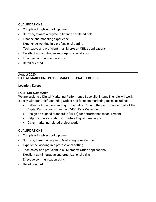### **QUALIFICATIONS:**

- Completed High school diploma
- Studying toward a degree in finance or related field
- Finance and modeling experience
- Experience working in a professional setting
- Tech savvy and proficient in all Microsoft Office applications
- Excellent administrative and organizational skills
- Effective communication skills
- Detail oriented

# August 2020 **DIGITAL MARKETING PERFORMANCE SPECIALIST INTERN**

#### **Location: Europe**

### **POSITION SUMMARY**

We are seeking a Digital Marketing Performance Specialist intern. The role will work closely with our Chief Marketing Officer and focus on marketing tasks including:

- Getting a full understanding of the Set, KPI's, and the performance of all of the Digital Campaigns within the LIVEKINDLY Collective.
- Design an aligned standard (of KPI's) for performance measurement
- Help to improve briefings for future Digital campaigns
- Other marketing related project work

# **QUALIFICATIONS:**

- Completed High school diploma
- Studying toward a degree in Marketing or related field
- Experience working in a professional setting
- Tech savvy and proficient in all Microsoft Office applications
- Excellent administrative and organizational skills
- Effective communication skills
- Detail oriented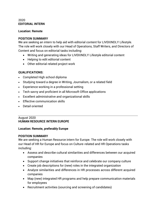#### 2020 **EDITORIAL INTERN**

#### **Location: Remote**

#### **POSITION SUMMARY**

We are seeking an intern to help aid with editorial content for LIVEKINDLY Lifestyle. The role will work closely with our Head of Operations, Staff Writers, and Directors of Content and focus on editorial tasks including:

- Writing and generating ideas for LIVEKINDLY Lifestyle editorial content
- Helping to edit editorial content
- Other editorial related project work

# **QUALIFICATIONS:**

- Completed High school diploma
- Studying toward a degree in Writing, Journalism, or a related field
- Experience working in a professional setting
- Tech savvy and proficient in all Microsoft Office applications
- Excellent administrative and organizational skills
- Effective communication skills
- Detail oriented

#### August 2020 **HUMAN RESOURCE INTERN EUROPE**

#### **Location: Remote, preferably Europe**

# **POSITION SUMMARY**

We are seeking a Human Resource intern for Europe. The role will work closely with our Head of HR for Europe and focus on Culture-related and HR Operations tasks including:

- Assess and describe cultural similarities and differences between our acquired companies
- Support change initiatives that reinforce and celebrate our company culture
- Create job descriptions for (new) roles in the integrated organization
- Analyze similarities and differences in HR processes across different acquired companies
- Map (new) integrated HR programs and help prepare communication materials for employees
- Recruitment activities (sourcing and screening of candidates)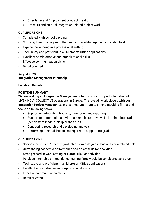- Offer letter and Employment contract creation
- Other HR and cultural integration related project work

# **QUALIFICATIONS:**

- Completed High school diploma
- Studying toward a degree in Human Resource Management or related field
- Experience working in a professional setting
- Tech savvy and proficient in all Microsoft Office applications
- Excellent administrative and organizational skills
- Effective communication skills
- Detail oriented

# August 2020 **Integration Management Internship**

### **Location: Remote**

### **POSITION SUMMARY**

We are seeking an **Integration Management** intern who will support integration of LIVEKINDLY COLLECTIVE operations in Europe. The role will work closely with our **Integration Project Manager** (ex-project manager from top-tier consulting firms) and focus on following tasks:

- Supporting integration tracking, monitoring and reporting
- Supporting interactions with stakeholders involved in the integration (department leads, startup brands etc.)
- Conducting research and developing analysis
- Performing other ad-hoc tasks required to support integration

# **QUALIFICATIONS:**

- Senior year student/recently graduated from a degree in business or a related field
- Outstanding academic performance and an aptitude for analytics
- Strong record in work setting or extracurricular activities
- Pervious internships in top-tier consulting firms would be considered as a plus
- Tech savvy and proficient in all Microsoft Office applications
- Excellent administrative and organizational skills
- Effective communication skills
- Detail oriented